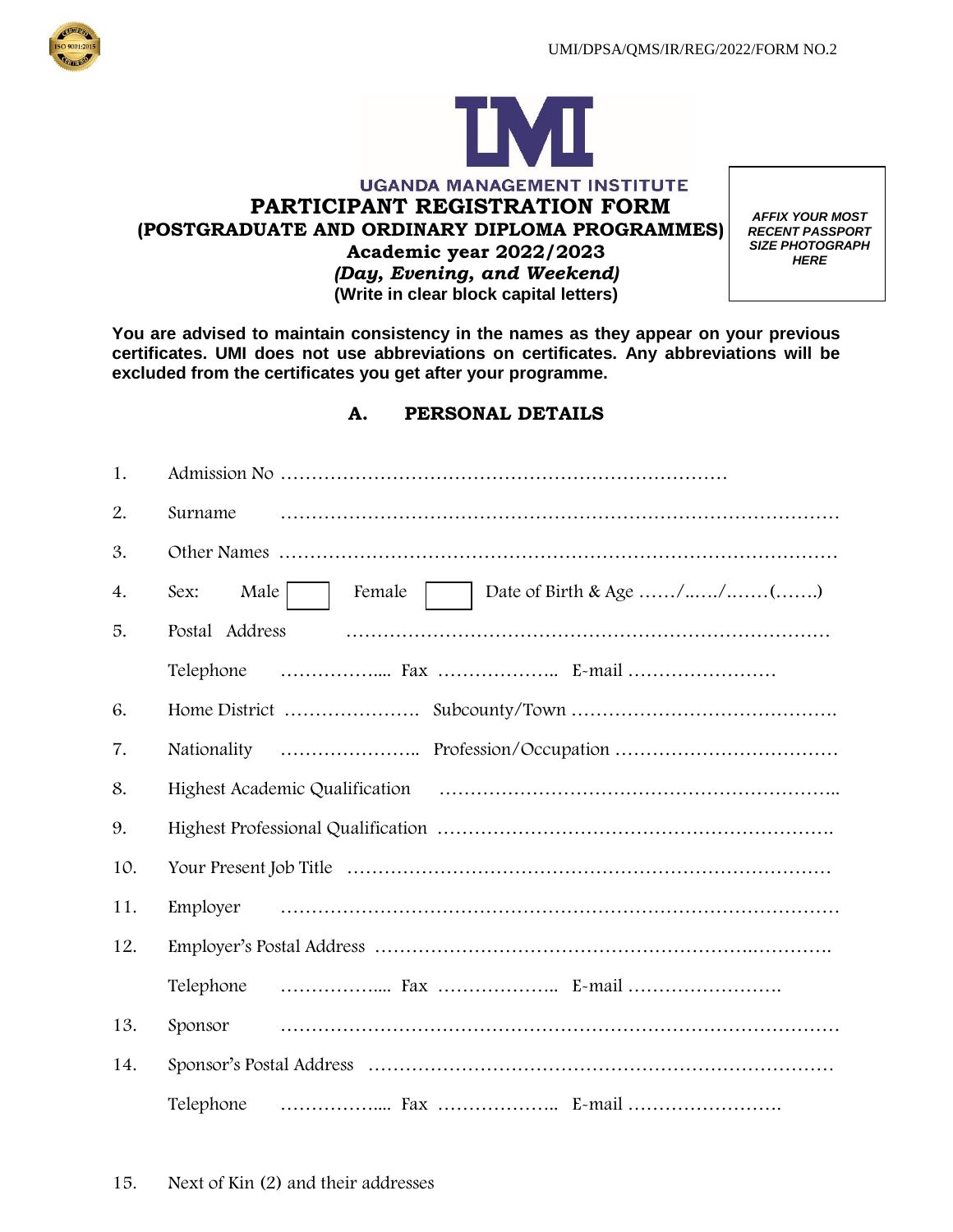



| <b>UGANDA MANAGEMENT INSTITUTE</b>             |
|------------------------------------------------|
| PARTICIPANT REGISTRATION FORM                  |
| (POSTGRADUATE AND ORDINARY DIPLOMA PROGRAMMES) |
| Academic year 2022/2023                        |
| (Day, Evening, and Weekend)                    |
| (Write in clear block capital letters)         |

*AFFIX YOUR MOST RECENT PASSPORT SIZE PHOTOGRAPH HERE*

**You are advised to maintain consistency in the names as they appear on your previous certificates. UMI does not use abbreviations on certificates. Any abbreviations will be excluded from the certificates you get after your programme.**

▙▖▟▙▖▚▕▛▏▅▗▟

## **A. PERSONAL DETAILS**

| 1.  |                                                                                                                                                                                                                                |  |  |
|-----|--------------------------------------------------------------------------------------------------------------------------------------------------------------------------------------------------------------------------------|--|--|
| 2.  | Surname                                                                                                                                                                                                                        |  |  |
| 3.  |                                                                                                                                                                                                                                |  |  |
| 4.  | Male<br>Sex:<br>Female                                                                                                                                                                                                         |  |  |
| 5.  | Postal Address                                                                                                                                                                                                                 |  |  |
|     | Telephone $\ldots$ $\ldots$ $\ldots$ $\ldots$ $\ldots$ $\ldots$ $\ldots$ $\ldots$ $\ldots$ $\ldots$ $\ldots$ $\ldots$ $\ldots$                                                                                                 |  |  |
| 6.  |                                                                                                                                                                                                                                |  |  |
| 7.  |                                                                                                                                                                                                                                |  |  |
| 8.  | Highest Academic Qualification (a) material content and all the quality of the Middle Middle Middle Middle Middle Middle Middle Middle Middle Middle Middle Middle Middle Middle Middle Middle Middle Middle Middle Middle Mid |  |  |
| 9.  |                                                                                                                                                                                                                                |  |  |
| 10. |                                                                                                                                                                                                                                |  |  |
| 11. | Employer                                                                                                                                                                                                                       |  |  |
| 12. |                                                                                                                                                                                                                                |  |  |
|     |                                                                                                                                                                                                                                |  |  |
| 13. | Sponsor                                                                                                                                                                                                                        |  |  |
| 14. |                                                                                                                                                                                                                                |  |  |
|     | Telephone                                                                                                                                                                                                                      |  |  |